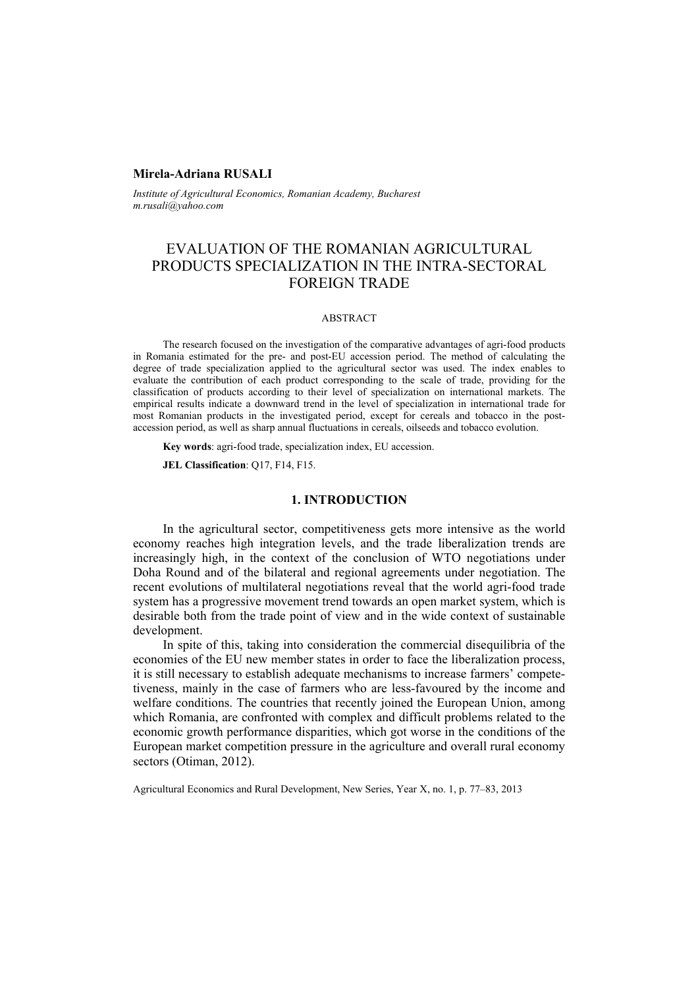## **Mirela-Adriana RUSALI**

*Institute of Agricultural Economics, Romanian Academy, Bucharest m.rusali@yahoo.com* 

# EVALUATION OF THE ROMANIAN AGRICULTURAL PRODUCTS SPECIALIZATION IN THE INTRA-SECTORAL FOREIGN TRADE

#### ABSTRACT

The research focused on the investigation of the comparative advantages of agri-food products in Romania estimated for the pre- and post-EU accession period. The method of calculating the degree of trade specialization applied to the agricultural sector was used. The index enables to evaluate the contribution of each product corresponding to the scale of trade, providing for the classification of products according to their level of specialization on international markets. The empirical results indicate a downward trend in the level of specialization in international trade for most Romanian products in the investigated period, except for cereals and tobacco in the postaccession period, as well as sharp annual fluctuations in cereals, oilseeds and tobacco evolution.

**Key words**: agri-food trade, specialization index, EU accession.

**JEL Classification**: Q17, F14, F15.

## **1. INTRODUCTION**

In the agricultural sector, competitiveness gets more intensive as the world economy reaches high integration levels, and the trade liberalization trends are increasingly high, in the context of the conclusion of WTO negotiations under Doha Round and of the bilateral and regional agreements under negotiation. The recent evolutions of multilateral negotiations reveal that the world agri-food trade system has a progressive movement trend towards an open market system, which is desirable both from the trade point of view and in the wide context of sustainable development.

In spite of this, taking into consideration the commercial disequilibria of the economies of the EU new member states in order to face the liberalization process, it is still necessary to establish adequate mechanisms to increase farmers' competetiveness, mainly in the case of farmers who are less-favoured by the income and welfare conditions. The countries that recently joined the European Union, among which Romania, are confronted with complex and difficult problems related to the economic growth performance disparities, which got worse in the conditions of the European market competition pressure in the agriculture and overall rural economy sectors (Otiman, 2012).

Agricultural Economics and Rural Development, New Series, Year X, no. 1, p. 77–83, 2013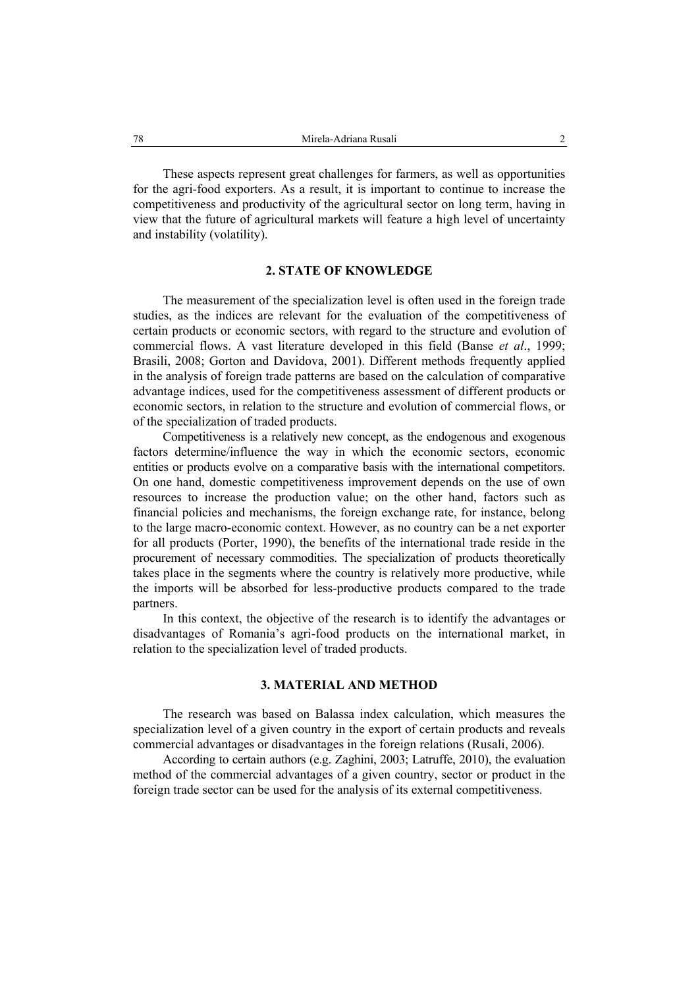These aspects represent great challenges for farmers, as well as opportunities for the agri-food exporters. As a result, it is important to continue to increase the competitiveness and productivity of the agricultural sector on long term, having in view that the future of agricultural markets will feature a high level of uncertainty and instability (volatility).

### **2. STATE OF KNOWLEDGE**

The measurement of the specialization level is often used in the foreign trade studies, as the indices are relevant for the evaluation of the competitiveness of certain products or economic sectors, with regard to the structure and evolution of commercial flows. A vast literature developed in this field (Banse *et al*., 1999; Brasili, 2008; Gorton and Davidova, 2001). Different methods frequently applied in the analysis of foreign trade patterns are based on the calculation of comparative advantage indices, used for the competitiveness assessment of different products or economic sectors, in relation to the structure and evolution of commercial flows, or of the specialization of traded products.

Competitiveness is a relatively new concept, as the endogenous and exogenous factors determine/influence the way in which the economic sectors, economic entities or products evolve on a comparative basis with the international competitors. On one hand, domestic competitiveness improvement depends on the use of own resources to increase the production value; on the other hand, factors such as financial policies and mechanisms, the foreign exchange rate, for instance, belong to the large macro-economic context. However, as no country can be a net exporter for all products (Porter, 1990), the benefits of the international trade reside in the procurement of necessary commodities. The specialization of products theoretically takes place in the segments where the country is relatively more productive, while the imports will be absorbed for less-productive products compared to the trade partners.

In this context, the objective of the research is to identify the advantages or disadvantages of Romania's agri-food products on the international market, in relation to the specialization level of traded products.

## **3. MATERIAL AND METHOD**

The research was based on Balassa index calculation, which measures the specialization level of a given country in the export of certain products and reveals commercial advantages or disadvantages in the foreign relations (Rusali, 2006).

According to certain authors (e.g. Zaghini, 2003; Latruffe, 2010), the evaluation method of the commercial advantages of a given country, sector or product in the foreign trade sector can be used for the analysis of its external competitiveness.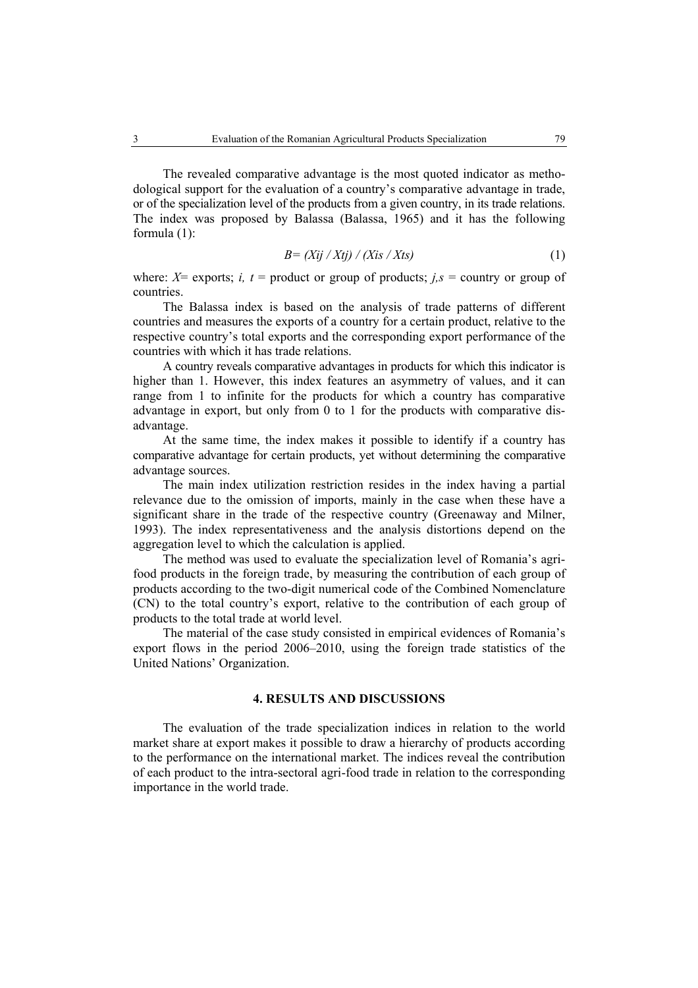The revealed comparative advantage is the most quoted indicator as methodological support for the evaluation of a country's comparative advantage in trade,

or of the specialization level of the products from a given country, in its trade relations. The index was proposed by Balassa (Balassa, 1965) and it has the following formula (1):

$$
B = (Xij / Xtj) / (Xis / Xts)
$$
 (1)

where:  $X =$  exports; *i, t* = product or group of products; *j,s* = country or group of countries.

The Balassa index is based on the analysis of trade patterns of different countries and measures the exports of a country for a certain product, relative to the respective country's total exports and the corresponding export performance of the countries with which it has trade relations.

A country reveals comparative advantages in products for which this indicator is higher than 1. However, this index features an asymmetry of values, and it can range from 1 to infinite for the products for which a country has comparative advantage in export, but only from 0 to 1 for the products with comparative disadvantage.

At the same time, the index makes it possible to identify if a country has comparative advantage for certain products, yet without determining the comparative advantage sources.

The main index utilization restriction resides in the index having a partial relevance due to the omission of imports, mainly in the case when these have a significant share in the trade of the respective country (Greenaway and Milner, 1993). The index representativeness and the analysis distortions depend on the aggregation level to which the calculation is applied.

The method was used to evaluate the specialization level of Romania's agrifood products in the foreign trade, by measuring the contribution of each group of products according to the two-digit numerical code of the Combined Nomenclature (CN) to the total country's export, relative to the contribution of each group of products to the total trade at world level.

The material of the case study consisted in empirical evidences of Romania's export flows in the period 2006–2010, using the foreign trade statistics of the United Nations' Organization.

# **4. RESULTS AND DISCUSSIONS**

The evaluation of the trade specialization indices in relation to the world market share at export makes it possible to draw a hierarchy of products according to the performance on the international market. The indices reveal the contribution of each product to the intra-sectoral agri-food trade in relation to the corresponding importance in the world trade.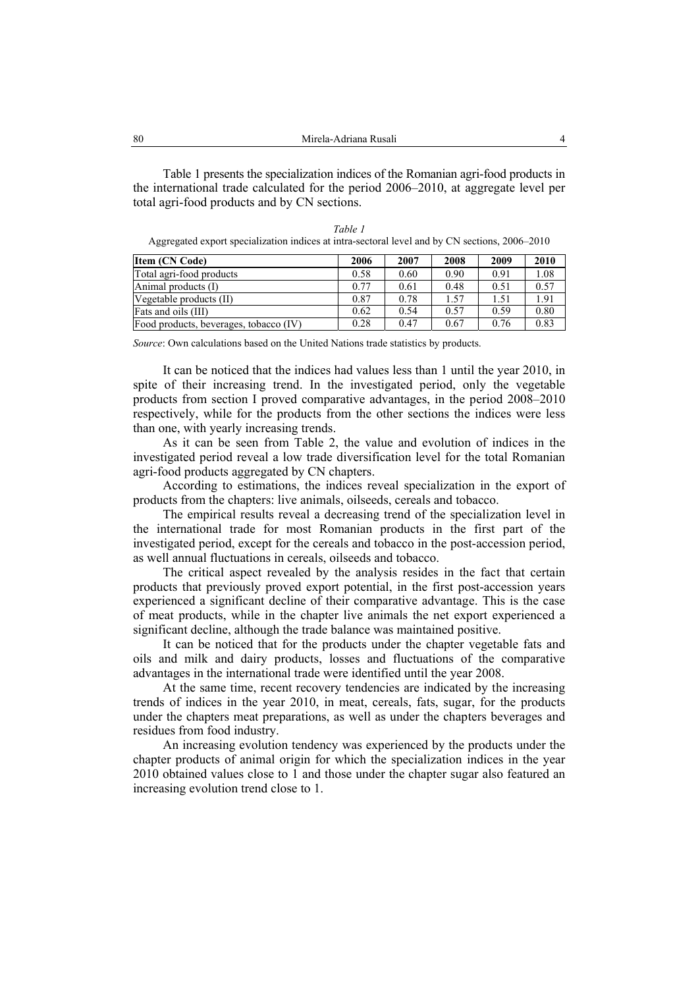Table 1 presents the specialization indices of the Romanian agri-food products in the international trade calculated for the period 2006–2010, at aggregate level per total agri-food products and by CN sections.

| Table 1                                                                                        |
|------------------------------------------------------------------------------------------------|
| Aggregated export specialization indices at intra-sectoral level and by CN sections, 2006–2010 |

| <b>Item (CN Code)</b>                  | 2006 | 2007 | 2008 | 2009 | 2010 |
|----------------------------------------|------|------|------|------|------|
| Total agri-food products               | 0.58 | 0.60 | 0.90 | 0.91 | 1.08 |
| Animal products (I)                    | 0.77 | 0.61 | 0.48 | 0.51 | 0.57 |
| Vegetable products (II)                | 0.87 | 0.78 | 1.57 | 1.51 | 1.91 |
| Fats and oils (III)                    | 0.62 | 0.54 | 0.57 | 0.59 | 0.80 |
| Food products, beverages, tobacco (IV) | 0.28 | 0.47 | 0.67 | 0.76 | 0.83 |

*Source*: Own calculations based on the United Nations trade statistics by products.

It can be noticed that the indices had values less than 1 until the year 2010, in spite of their increasing trend. In the investigated period, only the vegetable products from section I proved comparative advantages, in the period 2008–2010 respectively, while for the products from the other sections the indices were less than one, with yearly increasing trends.

As it can be seen from Table 2, the value and evolution of indices in the investigated period reveal a low trade diversification level for the total Romanian agri-food products aggregated by CN chapters.

According to estimations, the indices reveal specialization in the export of products from the chapters: live animals, oilseeds, cereals and tobacco.

The empirical results reveal a decreasing trend of the specialization level in the international trade for most Romanian products in the first part of the investigated period, except for the cereals and tobacco in the post-accession period, as well annual fluctuations in cereals, oilseeds and tobacco.

The critical aspect revealed by the analysis resides in the fact that certain products that previously proved export potential, in the first post-accession years experienced a significant decline of their comparative advantage. This is the case of meat products, while in the chapter live animals the net export experienced a significant decline, although the trade balance was maintained positive.

It can be noticed that for the products under the chapter vegetable fats and oils and milk and dairy products, losses and fluctuations of the comparative advantages in the international trade were identified until the year 2008.

At the same time, recent recovery tendencies are indicated by the increasing trends of indices in the year 2010, in meat, cereals, fats, sugar, for the products under the chapters meat preparations, as well as under the chapters beverages and residues from food industry.

An increasing evolution tendency was experienced by the products under the chapter products of animal origin for which the specialization indices in the year 2010 obtained values close to 1 and those under the chapter sugar also featured an increasing evolution trend close to 1.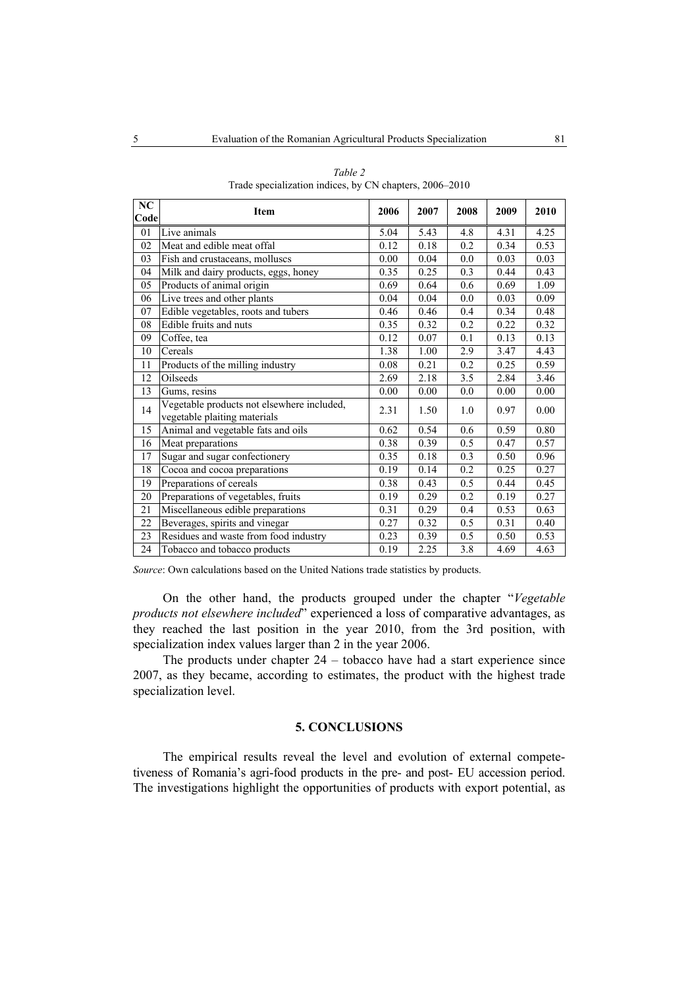| NC   | <b>Item</b>                                                                | 2006 | 2007               | 2008             | 2009 | 2010 |
|------|----------------------------------------------------------------------------|------|--------------------|------------------|------|------|
| Code |                                                                            |      |                    |                  |      |      |
| 01   | Live animals                                                               | 5.04 | 5.43               | 4.8              | 4.31 | 4.25 |
| 02   | Meat and edible meat offal                                                 | 0.12 | 0.18               | 0.2              | 0.34 | 0.53 |
| 03   | Fish and crustaceans, molluscs                                             | 0.00 | 0.04               | 0.0              | 0.03 | 0.03 |
| 04   | Milk and dairy products, eggs, honey                                       | 0.35 | 0.25               | 0.3              | 0.44 | 0.43 |
| 05   | Products of animal origin                                                  | 0.69 | 0.64               | 0.6              | 0.69 | 1.09 |
| 06   | Live trees and other plants                                                | 0.04 | 0.04               | 0.0              | 0.03 | 0.09 |
| 07   | Edible vegetables, roots and tubers                                        | 0.46 | 0.46               | 0.4              | 0.34 | 0.48 |
| 08   | Edible fruits and nuts                                                     | 0.35 | 0.32               | 0.2              | 0.22 | 0.32 |
| 09   | Coffee, tea                                                                | 0.12 | 0.07               | 0.1              | 0.13 | 0.13 |
| 10   | Cereals                                                                    | 1.38 | $\overline{1}$ .00 | 2.9              | 3.47 | 4.43 |
| 11   | Products of the milling industry                                           | 0.08 | 0.21               | 0.2              | 0.25 | 0.59 |
| 12   | Oilseeds                                                                   | 2.69 | 2.18               | 3.5              | 2.84 | 3.46 |
| 13   | Gums, resins                                                               | 0.00 | 0.00               | 0.0              | 0.00 | 0.00 |
| 14   | Vegetable products not elsewhere included,<br>vegetable plaiting materials | 2.31 | 1.50               | 1.0              | 0.97 | 0.00 |
| 15   | Animal and vegetable fats and oils                                         | 0.62 | 0.54               | 0.6              | 0.59 | 0.80 |
| 16   | Meat preparations                                                          | 0.38 | 0.39               | 0.5              | 0.47 | 0.57 |
| 17   | Sugar and sugar confectionery                                              | 0.35 | 0.18               | $\overline{0.3}$ | 0.50 | 0.96 |
| 18   | Cocoa and cocoa preparations                                               | 0.19 | 0.14               | 0.2              | 0.25 | 0.27 |
| 19   | Preparations of cereals                                                    | 0.38 | 0.43               | 0.5              | 0.44 | 0.45 |
| 20   | Preparations of vegetables, fruits                                         | 0.19 | 0.29               | 0.2              | 0.19 | 0.27 |
| 21   | Miscellaneous edible preparations                                          | 0.31 | 0.29               | 0.4              | 0.53 | 0.63 |
| 22   | Beverages, spirits and vinegar                                             | 0.27 | 0.32               | 0.5              | 0.31 | 0.40 |
| 23   | Residues and waste from food industry                                      | 0.23 | 0.39               | 0.5              | 0.50 | 0.53 |
| 24   | Tobacco and tobacco products                                               | 0.19 | 2.25               | 3.8              | 4.69 | 4.63 |

*Table 2*  Trade specialization indices, by CN chapters, 2006–2010

*Source*: Own calculations based on the United Nations trade statistics by products.

On the other hand, the products grouped under the chapter "*Vegetable products not elsewhere included*" experienced a loss of comparative advantages, as they reached the last position in the year 2010, from the 3rd position, with specialization index values larger than 2 in the year 2006.

The products under chapter 24 – tobacco have had a start experience since 2007, as they became, according to estimates, the product with the highest trade specialization level.

## **5. CONCLUSIONS**

The empirical results reveal the level and evolution of external competetiveness of Romania's agri-food products in the pre- and post- EU accession period. The investigations highlight the opportunities of products with export potential, as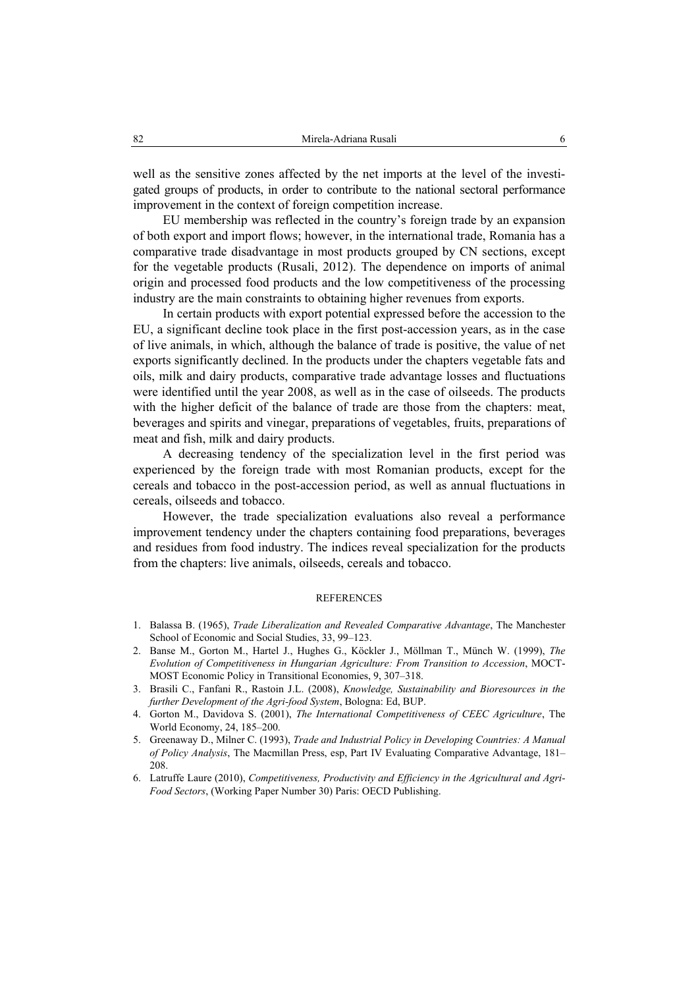well as the sensitive zones affected by the net imports at the level of the investigated groups of products, in order to contribute to the national sectoral performance improvement in the context of foreign competition increase.

EU membership was reflected in the country's foreign trade by an expansion of both export and import flows; however, in the international trade, Romania has a comparative trade disadvantage in most products grouped by CN sections, except for the vegetable products (Rusali, 2012). The dependence on imports of animal origin and processed food products and the low competitiveness of the processing industry are the main constraints to obtaining higher revenues from exports.

In certain products with export potential expressed before the accession to the EU, a significant decline took place in the first post-accession years, as in the case of live animals, in which, although the balance of trade is positive, the value of net exports significantly declined. In the products under the chapters vegetable fats and oils, milk and dairy products, comparative trade advantage losses and fluctuations were identified until the year 2008, as well as in the case of oilseeds. The products with the higher deficit of the balance of trade are those from the chapters: meat, beverages and spirits and vinegar, preparations of vegetables, fruits, preparations of meat and fish, milk and dairy products.

A decreasing tendency of the specialization level in the first period was experienced by the foreign trade with most Romanian products, except for the cereals and tobacco in the post-accession period, as well as annual fluctuations in cereals, oilseeds and tobacco.

However, the trade specialization evaluations also reveal a performance improvement tendency under the chapters containing food preparations, beverages and residues from food industry. The indices reveal specialization for the products from the chapters: live animals, oilseeds, cereals and tobacco.

#### REFERENCES

- 1. Balassa B. (1965), *Trade Liberalization and Revealed Comparative Advantage*, The Manchester School of Economic and Social Studies, 33, 99–123.
- 2. Banse M., Gorton M., Hartel J., Hughes G., Köckler J., Möllman T., Münch W. (1999), *The Evolution of Competitiveness in Hungarian Agriculture: From Transition to Accession*, MOCT-MOST Economic Policy in Transitional Economies, 9, 307–318.
- 3. Brasili C., Fanfani R., Rastoin J.L. (2008), *Knowledge, Sustainability and Bioresources in the further Development of the Agri-food System*, Bologna: Ed, BUP.
- 4. Gorton M., Davidova S. (2001), *The International Competitiveness of CEEC Agriculture*, The World Economy, 24, 185–200.
- 5. Greenaway D., Milner C. (1993), *Trade and Industrial Policy in Developing Countries: A Manual of Policy Analysis*, The Macmillan Press, esp, Part IV Evaluating Comparative Advantage, 181– 208.
- 6. Latruffe Laure (2010), *Competitiveness, Productivity and Efficiency in the Agricultural and Agri-Food Sectors*, (Working Paper Number 30) Paris: OECD Publishing.